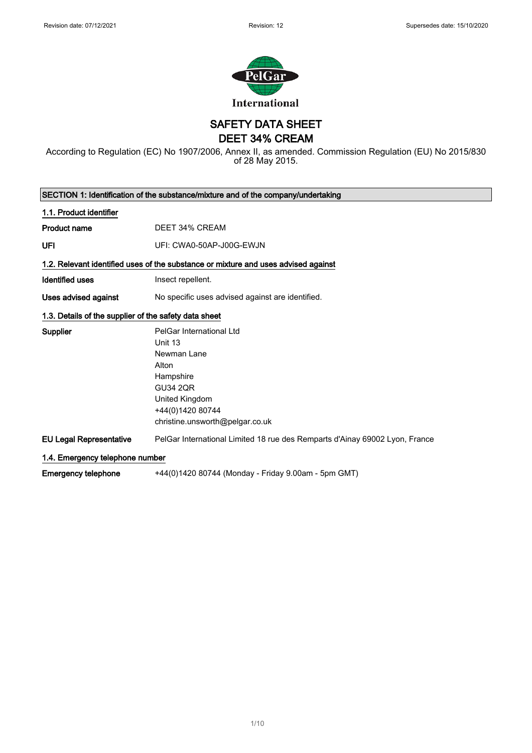

SAFETY DATA SHEET

DEET 34% CREAM

According to Regulation (EC) No 1907/2006, Annex II, as amended. Commission Regulation (EU) No 2015/830 of 28 May 2015.

| SECTION 1: Identification of the substance/mixture and of the company/undertaking |                                                                                                                                                                      |  |
|-----------------------------------------------------------------------------------|----------------------------------------------------------------------------------------------------------------------------------------------------------------------|--|
| 1.1. Product identifier                                                           |                                                                                                                                                                      |  |
| <b>Product name</b>                                                               | DEET 34% CREAM                                                                                                                                                       |  |
| UFI                                                                               | UFI: CWA0-50AP-J00G-EWJN                                                                                                                                             |  |
|                                                                                   | 1.2. Relevant identified uses of the substance or mixture and uses advised against                                                                                   |  |
| <b>Identified uses</b>                                                            | Insect repellent.                                                                                                                                                    |  |
| Uses advised against                                                              | No specific uses advised against are identified.                                                                                                                     |  |
| 1.3. Details of the supplier of the safety data sheet                             |                                                                                                                                                                      |  |
| <b>Supplier</b>                                                                   | PelGar International Ltd<br>Unit 13<br>Newman Lane<br>Alton<br>Hampshire<br><b>GU34 2QR</b><br>United Kingdom<br>+44(0)1420 80744<br>christine.unsworth@pelgar.co.uk |  |
| <b>EU Legal Representative</b>                                                    | PelGar International Limited 18 rue des Remparts d'Ainay 69002 Lyon, France                                                                                          |  |
|                                                                                   | 1.4. Emergency telephone number                                                                                                                                      |  |
| <b>Emergency telephone</b>                                                        | +44(0)1420 80744 (Monday - Friday 9.00am - 5pm GMT)                                                                                                                  |  |

1/ 10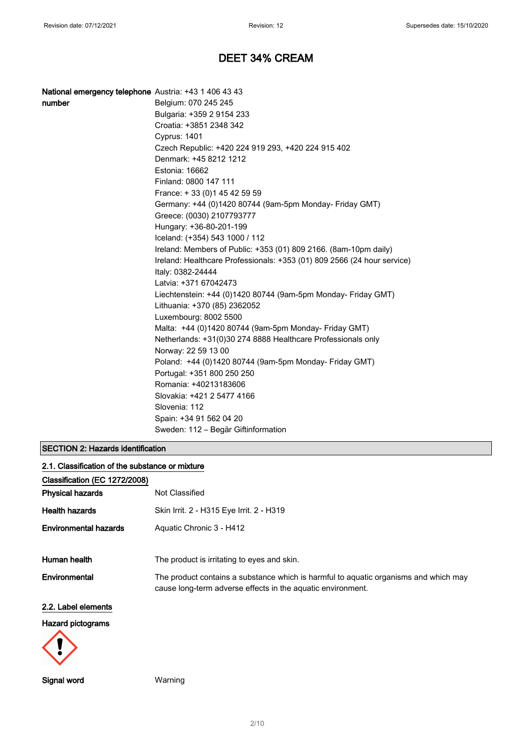| National emergency telephone Austria: +43 1 406 43 43 |  |  |
|-------------------------------------------------------|--|--|
|-------------------------------------------------------|--|--|

| number | Belgium: 070 245 245                                                    |
|--------|-------------------------------------------------------------------------|
|        | Bulgaria: +359 2 9154 233                                               |
|        | Croatia: +3851 2348 342                                                 |
|        | <b>Cyprus: 1401</b>                                                     |
|        | Czech Republic: +420 224 919 293, +420 224 915 402                      |
|        | Denmark: +45 8212 1212                                                  |
|        | Estonia: 16662                                                          |
|        | Finland: 0800 147 111                                                   |
|        | France: +33 (0) 145 42 59 59                                            |
|        | Germany: +44 (0)1420 80744 (9am-5pm Monday- Friday GMT)                 |
|        | Greece: (0030) 2107793777                                               |
|        | Hungary: +36-80-201-199                                                 |
|        | Iceland: (+354) 543 1000 / 112                                          |
|        | Ireland: Members of Public: +353 (01) 809 2166. (8am-10pm daily)        |
|        | Ireland: Healthcare Professionals: +353 (01) 809 2566 (24 hour service) |
|        | Italy: 0382-24444                                                       |
|        | Latvia: +371 67042473                                                   |
|        | Liechtenstein: +44 (0)1420 80744 (9am-5pm Monday- Friday GMT)           |
|        | Lithuania: +370 (85) 2362052                                            |
|        | Luxembourg: 8002 5500                                                   |
|        | Malta: +44 (0)1420 80744 (9am-5pm Monday- Friday GMT)                   |
|        | Netherlands: +31(0)30 274 8888 Healthcare Professionals only            |
|        | Norway: 22 59 13 00                                                     |
|        | Poland: +44 (0)1420 80744 (9am-5pm Monday- Friday GMT)                  |
|        | Portugal: +351 800 250 250                                              |
|        | Romania: +40213183606                                                   |
|        | Slovakia: +421 2 5477 4166                                              |
|        | Slovenia: 112                                                           |
|        | Spain: +34 91 562 04 20                                                 |
|        | Sweden: 112 - Begär Giftinformation                                     |

## SECTION 2: Hazards identification

| 2.1. Classification of the substance or mixture |                                                                                                                                                     |
|-------------------------------------------------|-----------------------------------------------------------------------------------------------------------------------------------------------------|
| Classification (EC 1272/2008)                   |                                                                                                                                                     |
| <b>Physical hazards</b>                         | Not Classified                                                                                                                                      |
| <b>Health hazards</b>                           | Skin Irrit. 2 - H315 Eye Irrit. 2 - H319                                                                                                            |
| <b>Environmental hazards</b>                    | Aquatic Chronic 3 - H412                                                                                                                            |
| Human health                                    | The product is irritating to eyes and skin.                                                                                                         |
| Environmental                                   | The product contains a substance which is harmful to aquatic organisms and which may<br>cause long-term adverse effects in the aquatic environment. |
| 2.2. Label elements                             |                                                                                                                                                     |
| <b>Hazard pictograms</b>                        |                                                                                                                                                     |



Signal word Warning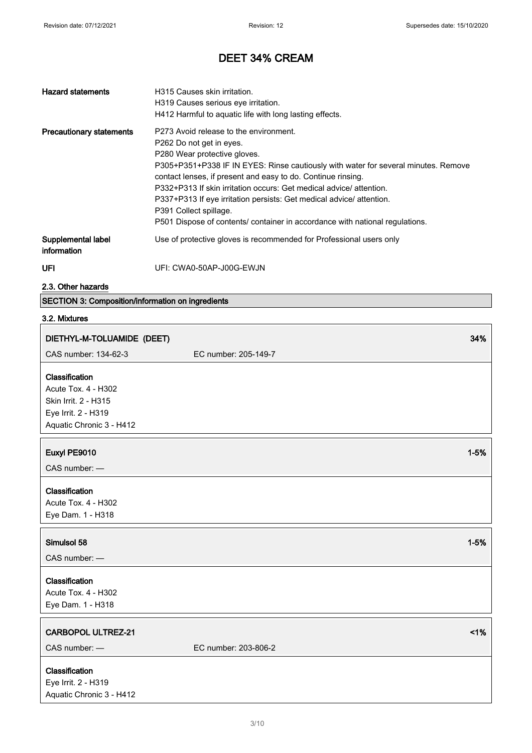| <b>Hazard statements</b>          | H315 Causes skin irritation.<br>H319 Causes serious eye irritation.<br>H412 Harmful to aquatic life with long lasting effects.                                                                                                                                                                                                                                                                                                                                                                                   |
|-----------------------------------|------------------------------------------------------------------------------------------------------------------------------------------------------------------------------------------------------------------------------------------------------------------------------------------------------------------------------------------------------------------------------------------------------------------------------------------------------------------------------------------------------------------|
| <b>Precautionary statements</b>   | P273 Avoid release to the environment.<br>P262 Do not get in eyes.<br>P280 Wear protective gloves.<br>P305+P351+P338 IF IN EYES: Rinse cautiously with water for several minutes. Remove<br>contact lenses, if present and easy to do. Continue rinsing.<br>P332+P313 If skin irritation occurs: Get medical advice/ attention.<br>P337+P313 If eye irritation persists: Get medical advice/attention.<br>P391 Collect spillage.<br>P501 Dispose of contents/ container in accordance with national regulations. |
| Supplemental label<br>information | Use of protective gloves is recommended for Professional users only                                                                                                                                                                                                                                                                                                                                                                                                                                              |
| UFI                               | UFI: CWA0-50AP-J00G-EWJN                                                                                                                                                                                                                                                                                                                                                                                                                                                                                         |

2.3. Other hazards

SECTION 3: Composition/information on ingredients

## 3.2. Mixtures

| DIETHYL-M-TOLUAMIDE (DEET)                                                                                                                                                                                                                                                                                                                                                                             |                      | 34%      |
|--------------------------------------------------------------------------------------------------------------------------------------------------------------------------------------------------------------------------------------------------------------------------------------------------------------------------------------------------------------------------------------------------------|----------------------|----------|
| CAS number: 134-62-3                                                                                                                                                                                                                                                                                                                                                                                   | EC number: 205-149-7 |          |
| Classification<br>Acute Tox. 4 - H302<br>Skin Irrit. 2 - H315<br>Eye Irrit. 2 - H319<br>Aquatic Chronic 3 - H412                                                                                                                                                                                                                                                                                       |                      |          |
| Euxyl PE9010<br>CAS number: -                                                                                                                                                                                                                                                                                                                                                                          |                      | $1 - 5%$ |
| Classification<br>Acute Tox. 4 - H302<br>Eye Dam. 1 - H318                                                                                                                                                                                                                                                                                                                                             |                      |          |
| Simulsol 58<br>CAS number: -                                                                                                                                                                                                                                                                                                                                                                           |                      | $1 - 5%$ |
| Classification<br>Acute Tox. 4 - H302<br>Eye Dam. 1 - H318                                                                                                                                                                                                                                                                                                                                             |                      |          |
| <b>CARBOPOL ULTREZ-21</b><br>CAS number: -                                                                                                                                                                                                                                                                                                                                                             | EC number: 203-806-2 | $<$ 1%   |
| Classification<br>$\overline{1}$ $\overline{1}$ $\overline{2}$ $\overline{1}$ $\overline{2}$ $\overline{1}$ $\overline{2}$ $\overline{1}$ $\overline{2}$ $\overline{3}$ $\overline{1}$ $\overline{2}$ $\overline{3}$ $\overline{1}$ $\overline{2}$ $\overline{3}$ $\overline{1}$ $\overline{2}$ $\overline{3}$ $\overline{3}$ $\overline{4}$ $\overline{2}$ $\overline{3}$ $\overline{3}$ $\overline{$ |                      |          |

Eye Irrit. 2 - H319 Aquatic Chronic 3 - H412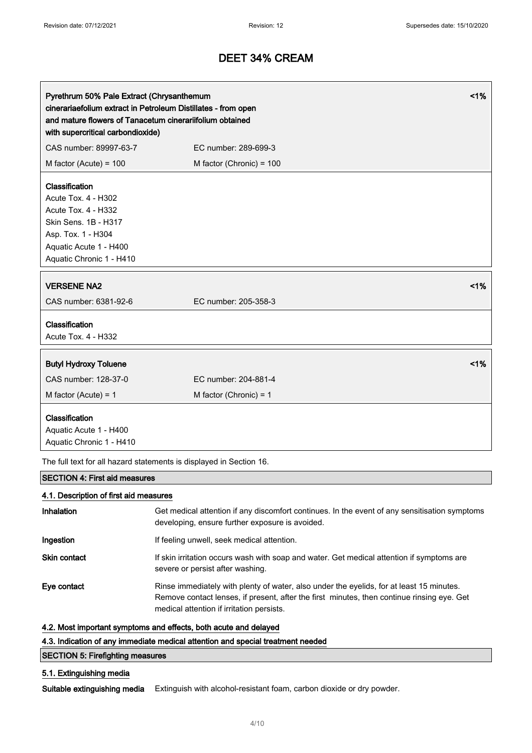| Pyrethrum 50% Pale Extract (Chrysanthemum<br>and mature flowers of Tanacetum cinerariifolium obtained<br>with supercritical carbondioxide)                       | $<$ 1%<br>cinerariaefolium extract in Petroleum Distillates - from open                                                                          |
|------------------------------------------------------------------------------------------------------------------------------------------------------------------|--------------------------------------------------------------------------------------------------------------------------------------------------|
| CAS number: 89997-63-7                                                                                                                                           | EC number: 289-699-3                                                                                                                             |
| M factor (Acute) = $100$                                                                                                                                         | M factor (Chronic) = 100                                                                                                                         |
| Classification<br>Acute Tox. 4 - H302<br>Acute Tox. 4 - H332<br>Skin Sens. 1B - H317<br>Asp. Tox. 1 - H304<br>Aquatic Acute 1 - H400<br>Aquatic Chronic 1 - H410 |                                                                                                                                                  |
| <b>VERSENE NA2</b><br>CAS number: 6381-92-6                                                                                                                      | 1%<br>EC number: 205-358-3                                                                                                                       |
| Classification<br>Acute Tox. 4 - H332                                                                                                                            |                                                                                                                                                  |
| <b>Butyl Hydroxy Toluene</b>                                                                                                                                     | 1%                                                                                                                                               |
| CAS number: 128-37-0                                                                                                                                             | EC number: 204-881-4                                                                                                                             |
| M factor (Acute) = $1$                                                                                                                                           | M factor (Chronic) = $1$                                                                                                                         |
| Classification<br>Aquatic Acute 1 - H400<br>Aquatic Chronic 1 - H410                                                                                             |                                                                                                                                                  |
|                                                                                                                                                                  | The full text for all hazard statements is displayed in Section 16.                                                                              |
| <b>SECTION 4: First aid measures</b>                                                                                                                             |                                                                                                                                                  |
| 4.1. Description of first aid measures                                                                                                                           |                                                                                                                                                  |
| Inhalation                                                                                                                                                       | Get medical attention if any discomfort continues. In the event of any sensitisation symptoms<br>developing, ensure further exposure is avoided. |
| Ingestion                                                                                                                                                        | If feeling unwell, seek medical attention.                                                                                                       |
| Skin contact                                                                                                                                                     | If skin irritation occurs wash with soap and water. Get medical attention if symptoms are                                                        |

severe or persist after washing. Eye contact Rinse immediately with plenty of water, also under the eyelids, for at least 15 minutes.

Remove contact lenses, if present, after the first minutes, then continue rinsing eye. Get medical attention if irritation persists.

### 4.2. Most important symptoms and effects, both acute and delayed

### 4.3. Indication of any immediate medical attention and special treatment needed

## SECTION 5: Firefighting measures

## 5.1. Extinguishing media

Suitable extinguishing media Extinguish with alcohol-resistant foam, carbon dioxide or dry powder.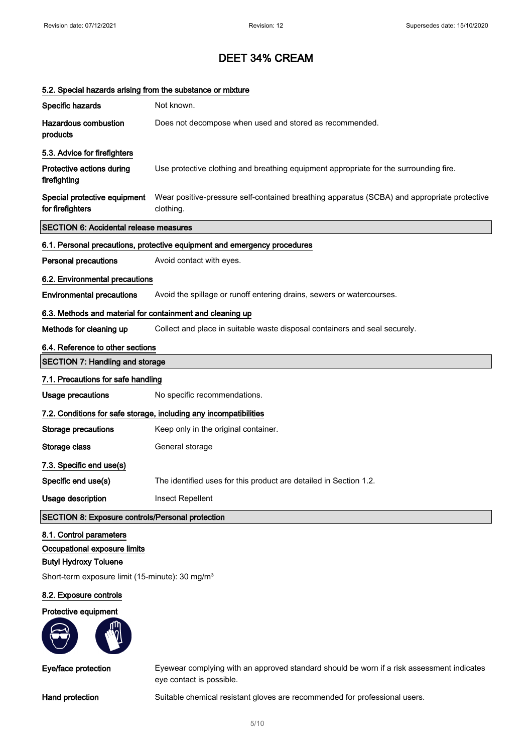# 5.2. Special hazards arising from the substance or mixture Specific hazards Not known. Hazardous combustion products Does not decompose when used and stored as recommended. 5.3. Advice for firefighters Protective actions during firefighting Use protective clothing and breathing equipment appropriate for the surrounding fire. Special protective equipment for firefighters Wear positive-pressure self-contained breathing apparatus (SCBA) and appropriate protective clothing. SECTION 6: Accidental release measures 6.1. Personal precautions, protective equipment and emergency procedures **Personal precautions** Avoid contact with eyes. 6.2. Environmental precautions Environmental precautions Avoid the spillage or runoff entering drains, sewers or watercourses. 6.3. Methods and material for containment and cleaning up Methods for cleaning up Collect and place in suitable waste disposal containers and seal securely. 6.4. Reference to other sections SECTION 7: Handling and storage 7.1. Precautions for safe handling Usage precautions Mo specific recommendations. 7.2. Conditions for safe storage, including any incompatibilities Storage precautions Keep only in the original container. Storage class General storage 7.3. Specific end use(s) Specific end use(s) The identified uses for this product are detailed in Section 1.2. Usage description **Insect Repellent** SECTION 8: Exposure controls/Personal protection

#### 8.1. Control parameters

#### Occupational exposure limits

### Butyl Hydroxy Toluene

Short-term exposure limit (15-minute): 30 mg/m<sup>3</sup>

#### 8.2. Exposure controls

#### Protective equipment



Eye/face protection Eyewear complying with an approved standard should be worn if a risk assessment indicates eye contact is possible.

Hand protection Suitable chemical resistant gloves are recommended for professional users.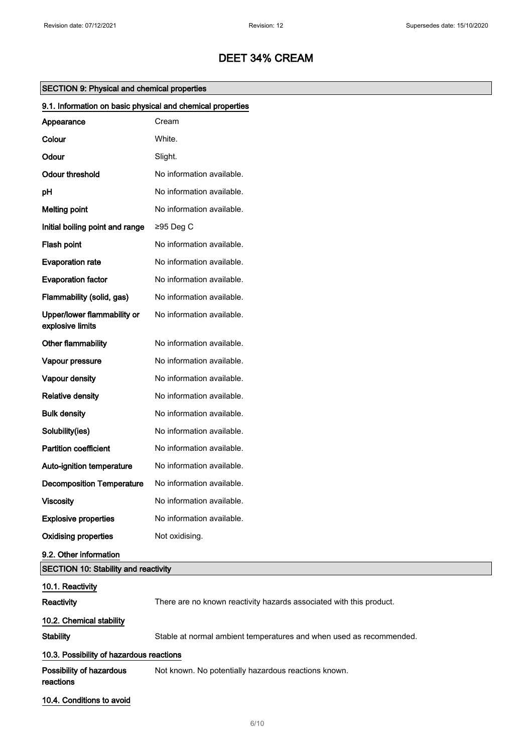| <b>SECTION 9: Physical and chemical properties</b> |  |  |  |
|----------------------------------------------------|--|--|--|
|----------------------------------------------------|--|--|--|

| 9.1. Information on basic physical and chemical properties |                                                                     |  |
|------------------------------------------------------------|---------------------------------------------------------------------|--|
| Appearance                                                 | Cream                                                               |  |
| Colour                                                     | White.                                                              |  |
| Odour                                                      | Slight.                                                             |  |
| <b>Odour threshold</b>                                     | No information available.                                           |  |
| pH                                                         | No information available.                                           |  |
| <b>Melting point</b>                                       | No information available.                                           |  |
| Initial boiling point and range                            | ≥95 Deg C                                                           |  |
| Flash point                                                | No information available.                                           |  |
| <b>Evaporation rate</b>                                    | No information available.                                           |  |
| <b>Evaporation factor</b>                                  | No information available.                                           |  |
| Flammability (solid, gas)                                  | No information available.                                           |  |
| Upper/lower flammability or<br>explosive limits            | No information available.                                           |  |
| Other flammability                                         | No information available.                                           |  |
| Vapour pressure                                            | No information available.                                           |  |
| Vapour density                                             | No information available.                                           |  |
| <b>Relative density</b>                                    | No information available.                                           |  |
| <b>Bulk density</b>                                        | No information available.                                           |  |
| Solubility(ies)                                            | No information available.                                           |  |
| <b>Partition coefficient</b>                               | No information available.                                           |  |
| Auto-ignition temperature                                  | No information available.                                           |  |
| <b>Decomposition Temperature</b>                           | No information available.                                           |  |
| <b>Viscosity</b>                                           | No information available.                                           |  |
| <b>Explosive properties</b>                                | No information available.                                           |  |
| <b>Oxidising properties</b>                                | Not oxidising.                                                      |  |
| 9.2. Other information                                     |                                                                     |  |
| <b>SECTION 10: Stability and reactivity</b>                |                                                                     |  |
| 10.1. Reactivity                                           |                                                                     |  |
| Reactivity                                                 | There are no known reactivity hazards associated with this product. |  |
| 10.2. Chemical stability                                   |                                                                     |  |
| <b>Stability</b>                                           | Stable at normal ambient temperatures and when used as recommended. |  |
| 10.3. Possibility of hazardous reactions                   |                                                                     |  |
| Possibility of hazardous<br>reactions                      | Not known. No potentially hazardous reactions known.                |  |
| 10.4. Conditions to avoid                                  |                                                                     |  |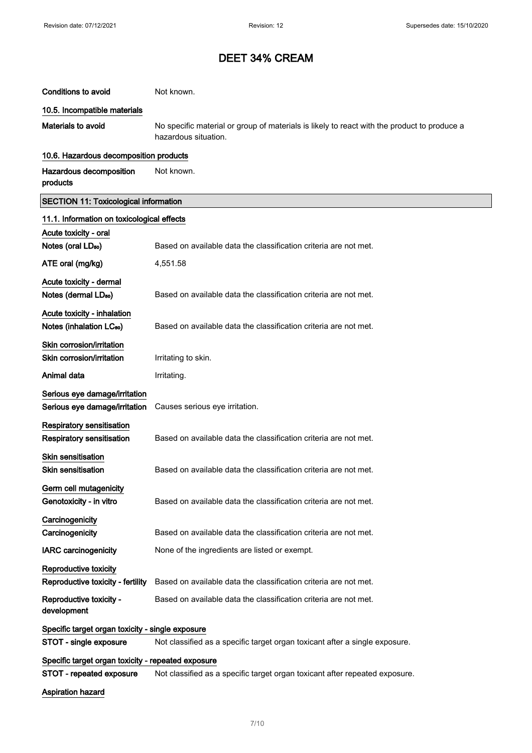| <b>Conditions to avoid</b>                                          | Not known.                                                                                                          |  |
|---------------------------------------------------------------------|---------------------------------------------------------------------------------------------------------------------|--|
| 10.5. Incompatible materials                                        |                                                                                                                     |  |
| <b>Materials to avoid</b>                                           | No specific material or group of materials is likely to react with the product to produce a<br>hazardous situation. |  |
| 10.6. Hazardous decomposition products                              |                                                                                                                     |  |
| Hazardous decomposition<br>products                                 | Not known.                                                                                                          |  |
| <b>SECTION 11: Toxicological information</b>                        |                                                                                                                     |  |
| 11.1. Information on toxicological effects                          |                                                                                                                     |  |
| Acute toxicity - oral                                               |                                                                                                                     |  |
| Notes (oral LD <sub>50</sub> )                                      | Based on available data the classification criteria are not met.                                                    |  |
| ATE oral (mg/kg)                                                    | 4,551.58                                                                                                            |  |
| Acute toxicity - dermal                                             |                                                                                                                     |  |
| Notes (dermal LD <sub>50</sub> )                                    | Based on available data the classification criteria are not met.                                                    |  |
| Acute toxicity - inhalation<br>Notes (inhalation LC <sub>50</sub> ) | Based on available data the classification criteria are not met.                                                    |  |
| Skin corrosion/irritation                                           |                                                                                                                     |  |
| Skin corrosion/irritation                                           | Irritating to skin.                                                                                                 |  |
| Animal data                                                         | Irritating.                                                                                                         |  |
| Serious eye damage/irritation                                       |                                                                                                                     |  |
| Serious eye damage/irritation                                       | Causes serious eye irritation.                                                                                      |  |
| <b>Respiratory sensitisation</b>                                    |                                                                                                                     |  |
| Respiratory sensitisation                                           | Based on available data the classification criteria are not met.                                                    |  |
| <b>Skin sensitisation</b>                                           |                                                                                                                     |  |
| <b>Skin sensitisation</b>                                           | Based on available data the classification criteria are not met.                                                    |  |
| Germ cell mutagenicity                                              |                                                                                                                     |  |
| Genotoxicity - in vitro                                             | Based on available data the classification criteria are not met.                                                    |  |
| Carcinogenicity                                                     |                                                                                                                     |  |
| Carcinogenicity                                                     | Based on available data the classification criteria are not met.                                                    |  |
| <b>IARC carcinogenicity</b>                                         | None of the ingredients are listed or exempt.                                                                       |  |
| <b>Reproductive toxicity</b>                                        |                                                                                                                     |  |
| Reproductive toxicity - fertility                                   | Based on available data the classification criteria are not met.                                                    |  |
| Reproductive toxicity -<br>development                              | Based on available data the classification criteria are not met.                                                    |  |
| Specific target organ toxicity - single exposure                    |                                                                                                                     |  |
| STOT - single exposure                                              | Not classified as a specific target organ toxicant after a single exposure.                                         |  |
| Specific target organ toxicity - repeated exposure                  |                                                                                                                     |  |
| <b>STOT - repeated exposure</b>                                     | Not classified as a specific target organ toxicant after repeated exposure.                                         |  |
| <b>Aspiration hazard</b>                                            |                                                                                                                     |  |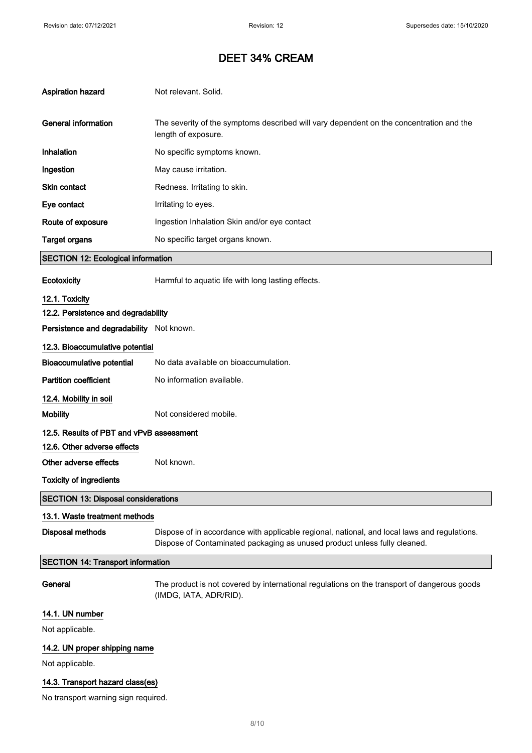| <b>Aspiration hazard</b>                   | Not relevant. Solid.                                                                                                                                                      |  |
|--------------------------------------------|---------------------------------------------------------------------------------------------------------------------------------------------------------------------------|--|
|                                            |                                                                                                                                                                           |  |
| <b>General information</b>                 | The severity of the symptoms described will vary dependent on the concentration and the<br>length of exposure.                                                            |  |
| Inhalation                                 | No specific symptoms known.                                                                                                                                               |  |
| Ingestion                                  | May cause irritation.                                                                                                                                                     |  |
| Skin contact                               | Redness. Irritating to skin.                                                                                                                                              |  |
| Eye contact                                | Irritating to eyes.                                                                                                                                                       |  |
| Route of exposure                          | Ingestion Inhalation Skin and/or eye contact                                                                                                                              |  |
| <b>Target organs</b>                       | No specific target organs known.                                                                                                                                          |  |
| <b>SECTION 12: Ecological information</b>  |                                                                                                                                                                           |  |
| Ecotoxicity                                | Harmful to aquatic life with long lasting effects.                                                                                                                        |  |
| 12.1. Toxicity                             |                                                                                                                                                                           |  |
| 12.2. Persistence and degradability        |                                                                                                                                                                           |  |
| Persistence and degradability Not known.   |                                                                                                                                                                           |  |
| 12.3. Bioaccumulative potential            |                                                                                                                                                                           |  |
| <b>Bioaccumulative potential</b>           | No data available on bioaccumulation.                                                                                                                                     |  |
| <b>Partition coefficient</b>               | No information available.                                                                                                                                                 |  |
| 12.4. Mobility in soil                     |                                                                                                                                                                           |  |
| <b>Mobility</b>                            | Not considered mobile.                                                                                                                                                    |  |
| 12.5. Results of PBT and vPvB assessment   |                                                                                                                                                                           |  |
| 12.6. Other adverse effects                |                                                                                                                                                                           |  |
| Other adverse effects                      | Not known.                                                                                                                                                                |  |
| <b>Toxicity of ingredients</b>             |                                                                                                                                                                           |  |
| <b>SECTION 13: Disposal considerations</b> |                                                                                                                                                                           |  |
| 13.1. Waste treatment methods              |                                                                                                                                                                           |  |
| <b>Disposal methods</b>                    | Dispose of in accordance with applicable regional, national, and local laws and regulations.<br>Dispose of Contaminated packaging as unused product unless fully cleaned. |  |
| <b>SECTION 14: Transport information</b>   |                                                                                                                                                                           |  |
| General                                    | The product is not covered by international regulations on the transport of dangerous goods<br>(IMDG, IATA, ADR/RID).                                                     |  |
| 14.1. UN number                            |                                                                                                                                                                           |  |
| Not applicable.                            |                                                                                                                                                                           |  |
| 14.2. UN proper shipping name              |                                                                                                                                                                           |  |
| Not applicable.                            |                                                                                                                                                                           |  |
| 14.3. Transport hazard class(es)           |                                                                                                                                                                           |  |
| No transport warning sign required.        |                                                                                                                                                                           |  |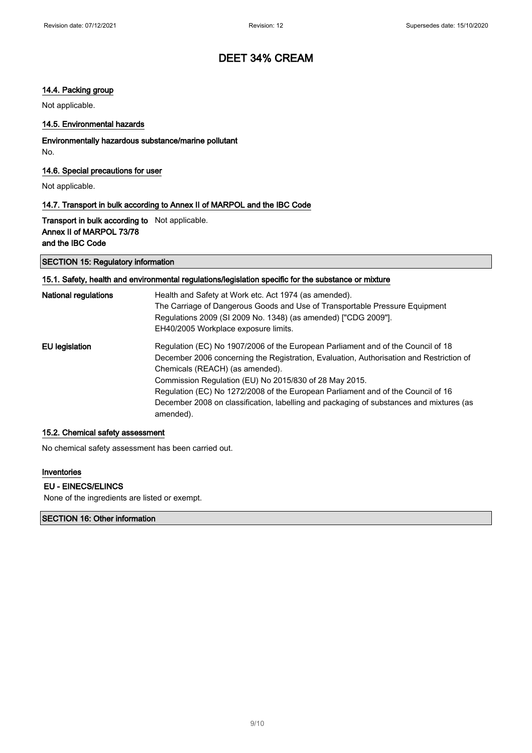### 14.4. Packing group

Not applicable.

### 14.5. Environmental hazards

### Environmentally hazardous substance/marine pollutant No.

### 14.6. Special precautions for user

Not applicable.

### 14.7. Transport in bulk according to Annex II of MARPOL and the IBC Code

## Transport in bulk according to Not applicable. Annex II of MARPOL 73/78 and the IBC Code

#### SECTION 15: Regulatory information

# 15.1. Safety, health and environmental regulations/legislation specific for the substance or mixture

| National regulations | Health and Safety at Work etc. Act 1974 (as amended).<br>The Carriage of Dangerous Goods and Use of Transportable Pressure Equipment<br>Regulations 2009 (SI 2009 No. 1348) (as amended) ["CDG 2009"].<br>EH40/2005 Workplace exposure limits.                                                                                                                                                                                                                       |
|----------------------|----------------------------------------------------------------------------------------------------------------------------------------------------------------------------------------------------------------------------------------------------------------------------------------------------------------------------------------------------------------------------------------------------------------------------------------------------------------------|
| EU legislation       | Regulation (EC) No 1907/2006 of the European Parliament and of the Council of 18<br>December 2006 concerning the Registration, Evaluation, Authorisation and Restriction of<br>Chemicals (REACH) (as amended).<br>Commission Regulation (EU) No 2015/830 of 28 May 2015.<br>Regulation (EC) No 1272/2008 of the European Parliament and of the Council of 16<br>December 2008 on classification, labelling and packaging of substances and mixtures (as<br>amended). |

#### 15.2. Chemical safety assessment

No chemical safety assessment has been carried out.

#### Inventories

### EU - EINECS/ELINCS

None of the ingredients are listed or exempt.

### SECTION 16: Other information